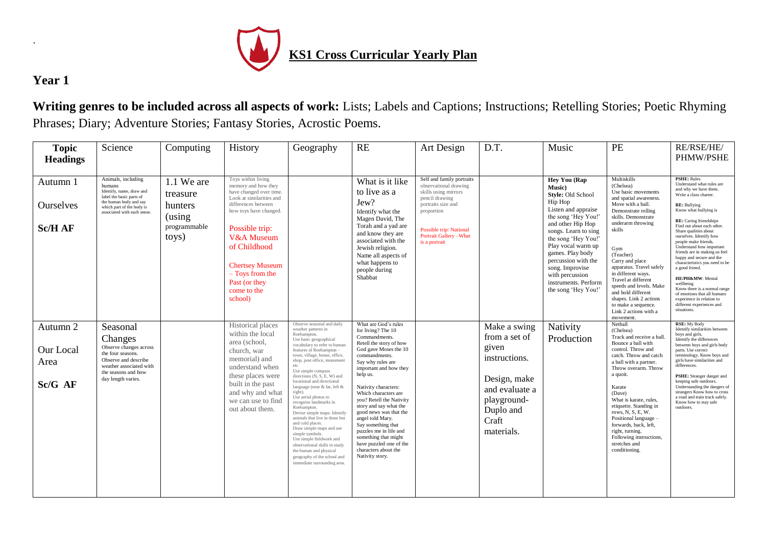

## **Year 1**

.

**Writing genres to be included across all aspects of work:** Lists; Labels and Captions; Instructions; Retelling Stories; Poetic Rhyming Phrases; Diary; Adventure Stories; Fantasy Stories, Acrostic Poems.

| <b>Topic</b><br><b>Headings</b>          | Science                                                                                                                                                                    | Computing                                                            | History                                                                                                                                                                                                                                                                                   | Geography                                                                                                                                                                                                                                                                                                                                                                                                                                                                                                                                                                                                                                                                                                             | RE                                                                                                                                                                                                                                                                                                                                                                                                                                                                                            | Art Design                                                                                                                                                                                                   | D.T.                                                                                                                                         | Music                                                                                                                                                                                                                                                                                                                                  | PE                                                                                                                                                                                                                                                                                                                                                                                                                                  | <b>RE/RSE/HE/</b><br>PHMW/PSHE                                                                                                                                                                                                                                                                                                                                                                                                                                                                                                                                                                               |
|------------------------------------------|----------------------------------------------------------------------------------------------------------------------------------------------------------------------------|----------------------------------------------------------------------|-------------------------------------------------------------------------------------------------------------------------------------------------------------------------------------------------------------------------------------------------------------------------------------------|-----------------------------------------------------------------------------------------------------------------------------------------------------------------------------------------------------------------------------------------------------------------------------------------------------------------------------------------------------------------------------------------------------------------------------------------------------------------------------------------------------------------------------------------------------------------------------------------------------------------------------------------------------------------------------------------------------------------------|-----------------------------------------------------------------------------------------------------------------------------------------------------------------------------------------------------------------------------------------------------------------------------------------------------------------------------------------------------------------------------------------------------------------------------------------------------------------------------------------------|--------------------------------------------------------------------------------------------------------------------------------------------------------------------------------------------------------------|----------------------------------------------------------------------------------------------------------------------------------------------|----------------------------------------------------------------------------------------------------------------------------------------------------------------------------------------------------------------------------------------------------------------------------------------------------------------------------------------|-------------------------------------------------------------------------------------------------------------------------------------------------------------------------------------------------------------------------------------------------------------------------------------------------------------------------------------------------------------------------------------------------------------------------------------|--------------------------------------------------------------------------------------------------------------------------------------------------------------------------------------------------------------------------------------------------------------------------------------------------------------------------------------------------------------------------------------------------------------------------------------------------------------------------------------------------------------------------------------------------------------------------------------------------------------|
| Autumn 1<br>Ourselves<br><b>Sc/H AF</b>  | Animals, including<br>humans<br>Identify, name, draw and<br>label the basic parts of<br>the human body and say<br>which part of the body is<br>associated with each sense. | 1.1 We are<br>treasure<br>hunters<br>(using<br>programmable<br>toys) | Toys within living<br>memory and how they<br>have changed over time.<br>Look at similarities and<br>differences between<br>how toys have changed.<br>Possible trip:<br>V&A Museum<br>of Childhood<br><b>Chertsey Museum</b><br>- Toys from the<br>Past (or they<br>come to the<br>school) |                                                                                                                                                                                                                                                                                                                                                                                                                                                                                                                                                                                                                                                                                                                       | What is it like<br>to live as a<br>Jew?<br>Identify what the<br>Magen David, The<br>Torah and a yad are<br>and know they are<br>associated with the<br>Jewish religion.<br>Name all aspects of<br>what happens to<br>people during<br>Shabbat                                                                                                                                                                                                                                                 | Self and family portraits<br>observational drawing<br>skills using mirrors<br>pencil drawing<br>portraits size and<br>proportion<br>Possible trip: National<br><b>Portrait Gallery-What</b><br>is a portrait |                                                                                                                                              | Hey You (Rap<br><b>Music</b> )<br>Style: Old School<br>Hip Hop<br>Listen and appraise<br>the song 'Hey You!'<br>and other Hip Hop<br>songs. Learn to sing<br>the song 'Hey You!'<br>Play vocal warm up<br>games. Play body<br>percussion with the<br>song. Improvise<br>with percussion<br>instruments. Perform<br>the song 'Hey You!' | Multiskills<br>(Chelsea)<br>Use basic movements<br>and spatial awareness.<br>Move with a ball.<br>Demonstrate rolling<br>skills. Demonstrate<br>underarm throwing<br>skills<br>Gym<br>(Teacher)<br>Carry and place<br>apparatus. Travel safely<br>in different ways.<br>Travel at different<br>speeds and levels. Make<br>and hold different<br>shapes. Link 2 actions<br>to make a sequence.<br>Link 2 actions with a<br>movement. | <b>PSHE: Rules</b><br>Understand what rules are<br>and why we have them.<br>Write a class charter.<br><b>RE:</b> Bullying<br>Know what bullying is<br>RE: Caring friendships<br>Find out about each other.<br>Share qualities about<br>ourselves. Identify how<br>people make friends.<br>Understand how important<br>friends are in making us feel<br>happy and secure and the<br>characteristics you need to be<br>a good friend.<br>HE/PH&MW: Mental<br>wellbeing<br>Know there is a normal range<br>of emotions that all humans<br>experience in relation to<br>different experiences and<br>situations. |
| Autumn 2<br>Our Local<br>Area<br>Sc/G AF | Seasonal<br>Changes<br>Observe changes across<br>the four seasons.<br>Observe and describe<br>weather associated with<br>the seasons and how<br>day length varies.         |                                                                      | Historical places<br>within the local<br>area (school,<br>church, war<br>memorial) and<br>understand when<br>these places were<br>built in the past<br>and why and what<br>we can use to find<br>out about them.                                                                          | Observe seasonal and daily<br>weather patterns in<br>Roehampton.<br>Use basic geographical<br>vocabulary to refer to human<br>features of Roehampton -<br>town, village, house, office,<br>shop, post office, monumen<br>etc<br>Use simple compass<br>directions (N, S, E, W) and<br>locational and directional<br>language (near & far, left &<br>right).<br>Use aerial photos to<br>recognise landmarks in<br>Roehampton.<br>Devise simple maps. Identify<br>animals that live in these hot<br>and cold places.<br>Draw simple maps and use<br>simple symbols.<br>Use simple fieldwork and<br>observational skills to study<br>the human and physical<br>geography of the school and<br>immediate surrounding area. | What are God's rules<br>for living? The 10<br>Commandments.<br>Retell the story of how<br>God gave Moses the 10<br>commandments.<br>Say why rules are<br>important and how they<br>help us.<br>Nativity characters:<br>Which characters are<br>you? Retell the Nativity<br>story and say what the<br>good news was that the<br>angel told Mary.<br>Say something that<br>puzzles me in life and<br>something that might<br>have puzzled one of the<br>characters about the<br>Nativity story. |                                                                                                                                                                                                              | Make a swing<br>from a set of<br>given<br>instructions.<br>Design, make<br>and evaluate a<br>playground-<br>Duplo and<br>Craft<br>materials. | Nativity<br>Production                                                                                                                                                                                                                                                                                                                 | Netball<br>(Chelsea)<br>Track and receive a ball.<br>Bounce a ball with<br>control. Throw and<br>catch. Throw and catch<br>a ball with a partner.<br>Throw overarm. Throw<br>a quoit.<br>Karate<br>(Dave)<br>What is karate, rules,<br>etiquette. Standing in<br>rows, N, S, E, W.<br>Positional language -<br>forwards, back, left,<br>right, turning.<br>Following instructions,<br>stretches and<br>conditioning.                | <b>RSE: My Body</b><br>Identify similarities between<br>boys and girls.<br>Identify the differences<br>between boys and girls body<br>parts. Use correct<br>terminology. Know boys and<br>girls have similarities and<br>differences.<br>PSHE: Stranger danger and<br>keeping safe outdoors.<br>Understanding the dangers of<br>strangers Know how to cross<br>a road and train track safely.<br>Know how to stay safe<br>outdoors.                                                                                                                                                                          |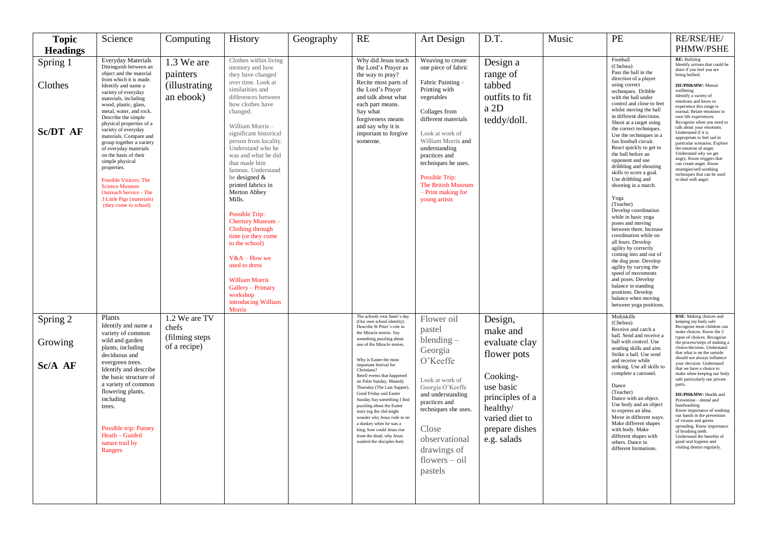| <b>Topic</b>    | Science                                                                                                                                                                                                                                                                                                 | Computing                          | History                                                                                                                                                                                                                                                                                                                                                                                                                                                   | Geography | <b>RE</b>                                                                                                                                                                                                                                                                                                                                                                                       | Art Design                                                                                                                                                                    | D.T.                                                                                                    | Music | PE                                                                                                                                                                                                                                                                                                                                                                                                                                                                                                                                                                                                                                                                  | RE/RSE/HE/                                                                                                                                                                                                                                                                                                                                                                                                                     |
|-----------------|---------------------------------------------------------------------------------------------------------------------------------------------------------------------------------------------------------------------------------------------------------------------------------------------------------|------------------------------------|-----------------------------------------------------------------------------------------------------------------------------------------------------------------------------------------------------------------------------------------------------------------------------------------------------------------------------------------------------------------------------------------------------------------------------------------------------------|-----------|-------------------------------------------------------------------------------------------------------------------------------------------------------------------------------------------------------------------------------------------------------------------------------------------------------------------------------------------------------------------------------------------------|-------------------------------------------------------------------------------------------------------------------------------------------------------------------------------|---------------------------------------------------------------------------------------------------------|-------|---------------------------------------------------------------------------------------------------------------------------------------------------------------------------------------------------------------------------------------------------------------------------------------------------------------------------------------------------------------------------------------------------------------------------------------------------------------------------------------------------------------------------------------------------------------------------------------------------------------------------------------------------------------------|--------------------------------------------------------------------------------------------------------------------------------------------------------------------------------------------------------------------------------------------------------------------------------------------------------------------------------------------------------------------------------------------------------------------------------|
| <b>Headings</b> |                                                                                                                                                                                                                                                                                                         |                                    |                                                                                                                                                                                                                                                                                                                                                                                                                                                           |           |                                                                                                                                                                                                                                                                                                                                                                                                 |                                                                                                                                                                               |                                                                                                         |       |                                                                                                                                                                                                                                                                                                                                                                                                                                                                                                                                                                                                                                                                     | PHMW/PSHE                                                                                                                                                                                                                                                                                                                                                                                                                      |
| Spring 1        | <b>Everyday Materials</b><br>Distinguish between an<br>object and the material                                                                                                                                                                                                                          | 1.3 We are<br>painters             | Clothes within living<br>memory and how<br>they have changed                                                                                                                                                                                                                                                                                                                                                                                              |           | Why did Jesus teach<br>the Lord's Prayer as<br>the way to pray?                                                                                                                                                                                                                                                                                                                                 | Weaving to create<br>one piece of fabric                                                                                                                                      | Design a<br>range of                                                                                    |       | Football<br>(Chelsea)<br>Pass the ball in the                                                                                                                                                                                                                                                                                                                                                                                                                                                                                                                                                                                                                       | <b>RE:</b> Bullying<br>Identify actions that could be<br>done if you feel you are<br>being bullied.                                                                                                                                                                                                                                                                                                                            |
| Clothes         | from which it is made.<br>Identify and name a<br>variety of everyday<br>materials, including<br>wood, plastic, glass,<br>metal, water, and rock.<br>Describe the simple<br>physical properties of a                                                                                                     | <i>(illustrating)</i><br>an ebook) | over time. Look at<br>similarities and<br>differences between<br>how clothes have<br>changed.                                                                                                                                                                                                                                                                                                                                                             |           | Recite most parts of<br>the Lord's Prayer<br>and talk about what<br>each part means.<br>Say what<br>forgiveness means                                                                                                                                                                                                                                                                           | Fabric Painting -<br>Printing with<br>vegetables<br>Collages from<br>different materials                                                                                      | tabbed<br>outfits to fit<br>a 2D<br>teddy/doll.                                                         |       | direction of a player<br>using correct<br>techniques. Dribble<br>with the ball under<br>control and close to feet<br>whilst moving the ball<br>in different directions.<br>Shoot at a target using                                                                                                                                                                                                                                                                                                                                                                                                                                                                  | HE/PH&MW: Mental<br>wellbeing<br>Identify a variety of<br>emotions and know to<br>experience this range is<br>normal. Relate emotions to<br>own life experiences.<br>Recognise when you need to                                                                                                                                                                                                                                |
| <b>Sc/DT AF</b> | variety of everyday<br>materials. Compare and<br>group together a variety<br>of everyday materials<br>on the basis of their<br>simple physical<br>properties.<br>Possible Visitors: The<br><b>Science Museum</b><br><b>Outreach Service - The</b><br>3 Little Pigs (materials)<br>(they come to school) |                                    | William Morris -<br>significant historical<br>person from locality.<br>Understand who he<br>was and what he did<br>that made him<br>famous. Understand<br>he designed $\&$<br>printed fabrics in<br>Merton Abbey<br>Mills.<br>Possible Trip:<br>Chertsey Museum -<br>Clothing through<br>time (or they come<br>to the school)<br>$V&A-How$ we<br>used to dress<br><b>William Morris</b><br>Gallery - Primary<br>workshop<br>introducing William<br>Morris |           | and say why it is<br>important to forgive<br>someone.                                                                                                                                                                                                                                                                                                                                           | Look at work of<br>William Morris and<br>understanding<br>practices and<br>techniques he uses.<br>Possible Trip:<br>The British Museum<br>- Print making for<br>young artists |                                                                                                         |       | the correct techniques.<br>Use the techniques in a<br>fun football circuit.<br>React quickly to get to<br>the ball before an<br>opponent and use<br>dribbling and shooting<br>skills to score a goal.<br>Use dribbling and<br>shooting in a match.<br>Yoga<br>(Teacher)<br>Develop coordination<br>while in basic yoga<br>poses and moving<br>between them. Increase<br>coordination while on<br>all fours. Develop<br>agility by correctly<br>coming into and out of<br>the dog pose. Develop<br>agility by varying the<br>speed of movements<br>and poses. Develop<br>balance in standing<br>positions. Develop<br>balance when moving<br>between yoga positions. | talk about your emotions.<br>Understand if it is<br>appropriate to feel sad in<br>particular scenarios. Explore<br>the emotion of anger.<br>Understand why we get<br>angry. Know triggers that<br>can create anger. Know<br>strategies/self-soothing<br>techniques that can be used<br>to deal with anger.                                                                                                                     |
| Spring 2        | Plants<br>Identify and name a                                                                                                                                                                                                                                                                           | 1.2 We are TV<br>chefs             |                                                                                                                                                                                                                                                                                                                                                                                                                                                           |           | The schools own Saint's day<br>(Our own school identity).<br>Describe St Peter's role in                                                                                                                                                                                                                                                                                                        | Flower oil                                                                                                                                                                    | Design,                                                                                                 |       | Multiskills<br>(Chelsea)                                                                                                                                                                                                                                                                                                                                                                                                                                                                                                                                                                                                                                            | RSE: Making choices and<br>keeping my body safe<br>Recognise most children can                                                                                                                                                                                                                                                                                                                                                 |
| Growing         | variety of common<br>wild and garden<br>plants, including<br>deciduous and                                                                                                                                                                                                                              | (filming steps<br>of a recipe)     |                                                                                                                                                                                                                                                                                                                                                                                                                                                           |           | the Miracle stories. Say<br>something puzzling about<br>one of the Miracle stories.<br>Why is Easter the most                                                                                                                                                                                                                                                                                   | pastel<br>$blending -$<br>Georgia<br>O'Keeffe                                                                                                                                 | make and<br>evaluate clay<br>flower pots                                                                |       | Receive and catch a<br>ball. Send and receive a<br>ball with control. Use<br>sending skills and aim.<br>Strike a ball. Use send<br>and receive while                                                                                                                                                                                                                                                                                                                                                                                                                                                                                                                | make choices. Know the 2<br>types of choices. Recognise<br>the process/steps of making a<br>choice/decision. Understand<br>that what is on the outside<br>should not always influence                                                                                                                                                                                                                                          |
| Sc/A AF         | evergreen trees.<br>Identify and describe<br>the basic structure of<br>a variety of common<br>flowering plants,<br>including<br>trees.<br>Possible trip: Putney<br>Heath - Guided<br>nature trail by<br>Rangers                                                                                         |                                    |                                                                                                                                                                                                                                                                                                                                                                                                                                                           |           | important festival for<br>Christians?<br>Retell events that happened<br>on Palm Sunday, Maundy<br>Thursday (The Last Supper),<br>Good Friday and Easter<br>Sunday.Say something I find<br>puzzling about the Easter<br>story (eg the chd might<br>wonder why Jesus rode in on<br>a donkey when he was a<br>king; how could Jesus rise<br>from the dead; why Jesus<br>washed the disciples feet) | Look at work of<br>Georgia O'Keeffe<br>and understanding<br>practices and<br>techniques she uses.<br>Close<br>observational<br>drawings of<br>$f$ lowers $-$ oil<br>pastels   | Cooking-<br>use basic<br>principles of a<br>healthy/<br>varied diet to<br>prepare dishes<br>e.g. salads |       | striking. Use all skills to<br>complete a carousel.<br>Dance<br>(Teacher)<br>Dance with an object.<br>Use body and an object<br>to express an idea.<br>Move in different ways.<br>Make different shapes<br>with body. Make<br>different shapes with<br>others. Dance in<br>different formations.                                                                                                                                                                                                                                                                                                                                                                    | your decision. Understand<br>that we have a choice to<br>make when keeping our body<br>safe particularly our private<br>parts<br>HE/PH&MW: Health and<br>Prevention - dental and<br>handwashing<br>Know importance of washing<br>our hands in the prevention<br>of viruses and germs<br>spreading. Know importance<br>of brushing teeth.<br>Understand the benefits of<br>good oral hygiene and<br>visiting dentist regularly. |